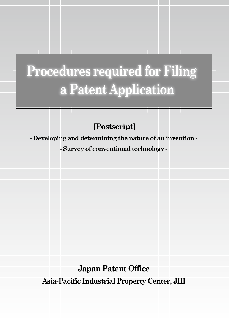# **Procedures required for Filing a Patent Application**

**[Postscript]**

**- Developing and determining the nature of an invention -** 

**- Survey of conventional technology -** 

**Japan Patent Office Asia-Pacific Industrial Property Center, JIII**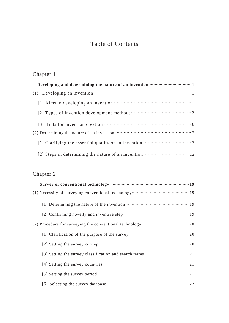# Table of Contents

# Chapter 1

### Chapter 2

| Survey of conventional technology ………………………………………………………… 19 |
|-------------------------------------------------------------|
|                                                             |
|                                                             |
|                                                             |
|                                                             |
|                                                             |
|                                                             |
|                                                             |
|                                                             |
|                                                             |
|                                                             |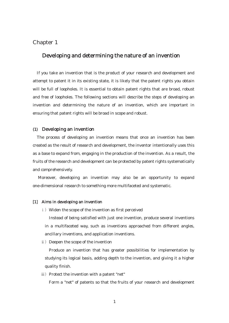#### Chapter 1

#### Developing and determining the nature of an invention

If you take an invention that is the product of your research and development and attempt to patent it in its existing state, it is likely that the patent rights you obtain will be full of loopholes. It is essential to obtain patent rights that are broad, robust and free of loopholes. The following sections will describe the steps of developing an invention and determining the nature of an invention, which are important in ensuring that patent rights will be broad in scope and robust.

#### (1) Developing an invention

The process of developing an invention means that once an invention has been created as the result of research and development, the inventor intentionally uses this as a base to expand from, engaging in the production of the invention. As a result, the fruits of the research and development can be protected by patent rights systematically and comprehensively.

Moreover, developing an invention may also be an opportunity to expand one-dimensional research to something more multifaceted and systematic.

#### [1] Aims in developing an invention

i) Widen the scope of the invention as first perceived

 Instead of being satisfied with just one invention, produce several inventions in a multifaceted way, such as inventions approached from different angles, ancillary inventions, and application inventions.

ii) Deepen the scope of the invention

 Produce an invention that has greater possibilities for implementation by studying its logical basis, adding depth to the invention, and giving it a higher quality finish.

iii) Protect the invention with a patent "net"

Form a "net" of patents so that the fruits of your research and development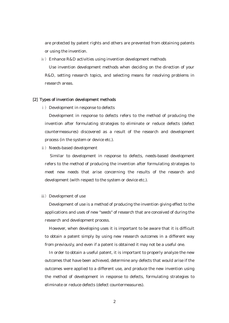are protected by patent rights and others are prevented from obtaining patents or using the invention.

iv) Enhance R&D activities using invention development methods

 Use invention development methods when deciding on the direction of your R&D, setting research topics, and selecting means for resolving problems in research areas.

#### [2] Types of invention development methods

i) Development in response to defects

 Development in response to defects refers to the method of producing the invention after formulating strategies to eliminate or reduce defects (defect countermeasures) discovered as a result of the research and development process (in the system or device etc.).

ii) Needs-based development

 Similar to development in response to defects, needs-based development refers to the method of producing the invention after formulating strategies to meet new needs that arise concerning the results of the research and development (with respect to the system or device etc.).

iii) Development of use

 Development of use is a method of producing the invention giving effect to the applications and uses of new "seeds" of research that are conceived of during the research and development process.

 However, when developing uses it is important to be aware that it is difficult to obtain a patent simply by using new research outcomes in a different way from previously, and even if a patent is obtained it may not be a useful one.

 In order to obtain a useful patent, it is important to properly analyze the new outcomes that have been achieved, determine any defects that would arise if the outcomes were applied to a different use, and produce the new invention using the method of development in response to defects, formulating strategies to eliminate or reduce defects (defect countermeasures).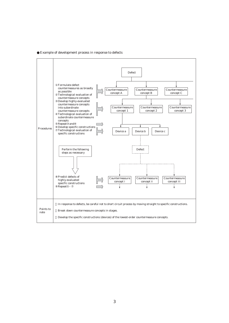Example of development process in response to defects

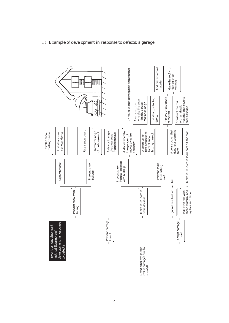

#### a) Example of development in response to defects: a garage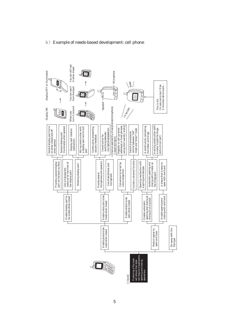

#### b) Example of needs-based development: cell phone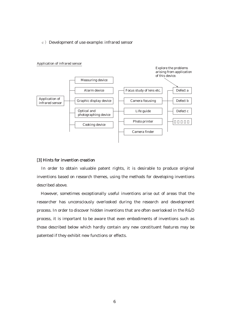#### c) Development of use example: infrared sensor



Application of infrared sensor

#### [3] Hints for invention creation

 In order to obtain valuable patent rights, it is desirable to produce original inventions based on research themes, using the methods for developing inventions described above.

However, sometimes exceptionally useful inventions arise out of areas that the researcher has unconsciously overlooked during the research and development process. In order to discover hidden inventions that are often overlooked in the R&D process, it is important to be aware that even embodiments of inventions such as those described below which hardly contain any new constituent features may be patented if they exhibit new functions or effects.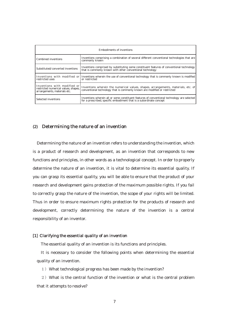| Embodiments of inventions                                                                           |                                                                                                                                                                    |  |
|-----------------------------------------------------------------------------------------------------|--------------------------------------------------------------------------------------------------------------------------------------------------------------------|--|
| Combined inventions                                                                                 | Inventions comprising a combination of several di erent conventional technologies that are<br>commonly known                                                       |  |
| Substituted/converted inventions                                                                    | Inventions comprised by substituting some constituent features of conventional technology<br>that is commonly known with other conventional technology             |  |
| restricted uses                                                                                     | Inventions with modified or Inventions wherein the use of conventional technology that is commonly known is modified<br>or restricted                              |  |
| Inventions with modified or<br>restricted numerical values, shapes,<br>arrangements, materials etc. | Inventions wherein the numerical values, shapes, arrangements, materials, etc. of<br>conventional technology that is commonly known are modified or restricted     |  |
| Selected inventions                                                                                 | Inventions wherein all or some constituent features of conventional technology are selected<br>for a prescribed, specific embodiment that is a subordinate concept |  |

#### (2) Determining the nature of an invention

Determining the nature of an invention refers to understanding the invention, which is a product of research and development, as an invention that corresponds to new functions and principles, in other words as a technological concept. In order to properly determine the nature of an invention, it is vital to determine its essential quality. If you can grasp its essential quality, you will be able to ensure that the product of your research and development gains protection of the maximum possible rights. If you fail to correctly grasp the nature of the invention, the scope of your rights will be limited. Thus in order to ensure maximum rights protection for the products of research and development, correctly determining the nature of the invention is a central responsibility of an inventor.

#### [1] Clarifying the essential quality of an invention

The essential quality of an invention is its functions and principles.

It is necessary to consider the following points when determining the essential quality of an invention.

1) What technological progress has been made by the invention?

2) What is the central function of the invention or what is the central problem that it attempts to resolve?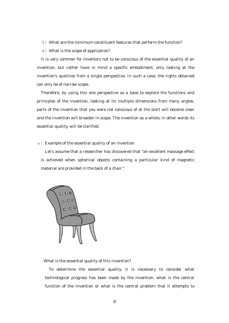- 3) What are the minimum constituent features that perform the function?
- 4) What is the scope of application?

It is very common for inventors not to be conscious of the essential quality of an invention, but rather have in mind a specific embodiment, only looking at the invention's qualities from a single perspective. In such a case, the rights obtained can only be of narrow scope.

Therefore, by using this one perspective as a base to explore the functions and principles of the invention, looking at its multiple dimensions from many angles, parts of the invention that you were not conscious of at the start will become clear and the invention will broaden in scope. The invention as a whole, in other words its essential quality, will be clarified.

#### a) Example of the essential quality of an invention

Let's assume that a researcher has discovered that "an excellent massage effect is achieved when spherical objects containing a particular kind of magnetic material are provided in the back of a chair."



What is the essential quality of this invention?

To determine the essential quality, it is necessary to consider what technological progress has been made by the invention, what is the central function of the invention or what is the central problem that it attempts to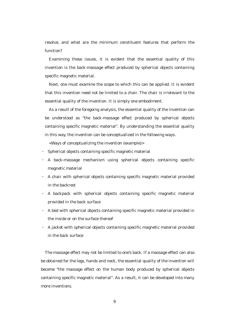resolve, and what are the minimum constituent features that perform the function?

Examining these issues, it is evident that the essential quality of this invention is the back-massage effect produced by spherical objects containing specific magnetic material.

Next, one must examine the scope to which this can be applied. It is evident that this invention need not be limited to a chair. The chair is irrelevant to the essential quality of the invention. It is simply one embodiment.

As a result of the foregoing analysis, the essential quality of the invention can be understood as "the back-massage effect produced by spherical objects containing specific magnetic material". By understanding the essential quality in this way, the invention can be conceptualized in the following ways.

<Ways of conceptualizing the invention (example)>

- Spherical objects containing specific magnetic material
- A back-massage mechanism using spherical objects containing specific magnetic material
- A chair with spherical objects containing specific magnetic material provided in the backrest
- A backpack with spherical objects containing specific magnetic material provided in the back surface
- A bed with spherical objects containing specific magnetic material provided in the inside or on the surface thereof
- A jacket with spherical objects containing specific magnetic material provided in the back surface

The massage effect may not be limited to one's back. If a massage effect can also be obtained for the legs, hands and neck, the essential quality of the invention will become "the massage effect on the human body produced by spherical objects containing specific magnetic material". As a result, it can be developed into many more inventions.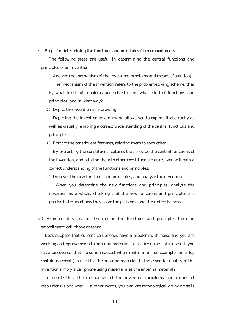#### $\sim$ Steps for determining the functions and principles from embodiments

The following steps are useful in determining the central functions and principles of an invention.

- 1) Analyze the mechanism of the invention (problems and means of solution) The mechanism of the invention refers to the problem-solving scheme, that is, what kinds of problems are solved using what kind of functions and principles, and in what way?
- 2) Depict the invention as a drawing

 Depicting the invention as a drawing allows you to explore it abstractly as well as visually, enabling a correct understanding of the central functions and principles.

3) Extract the constituent features, relating them to each other

 By extracting the constituent features that provide the central functions of the invention, and relating them to other constituent features, you will gain a correct understanding of the functions and principles.

- 4) Discover the new functions and principles, and analyze the invention When you determine the new functions and principles, analyze the invention as a whole, checking that the new functions and principles are precise in terms of how they solve the problems and their effectiveness.
- b) Example of steps for determining the functions and principles from an embodiment: cell phone antenna

Let's suppose that current cell phones have a problem with noise and you are working on improvements to antenna materials to reduce noise. As a result, you have discovered that noise is reduced when material  $\alpha$  (for example, an alloy containing cobalt) is used for the antenna material. Is the essential quality of the invention simply a cell phone using material  $\alpha$  as the antenna material?

To decide this, the mechanism of the invention (problems and means of resolution) is analyzed. In other words, you analyze technologically why noise is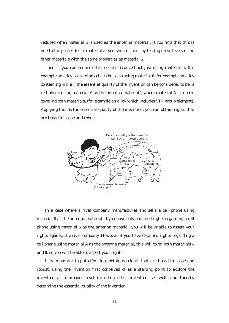reduced when material  $\alpha$  is used as the antenna material. If you find that this is due to the properties of material  $\alpha$ , you should check by testing noise levels using other materials with the same properties as material  $\alpha$ .

Then, if you can confirm that noise is reduced not just using material  $\alpha$ , (for example an alloy containing cobalt) but also using material  $\beta$  (for example an alloy containing nickel), the essential quality of the invention can be considered to be "a cell phone using material A as the antenna material", where material A is a term covering both materials, (for example an alloy which includes VIII group element). Applying this as the essential quality of the invention, you can obtain rights that are broad in scope and robust.



In a case where a rival company manufactures and sells a cell phone using material B as the antenna material, if you have only obtained rights regarding a cell phone using material  $\alpha$  as the antenna material, you will be unable to assert your rights against the rival company. However, if you have obtained rights regarding a cell phone using material A as the antenna material, this will cover both materials  $\alpha$ and  $B$ , so you will be able to assert your rights.

It is important to put effort into obtaining rights that are broad in scope and robust, using the invention first conceived of as a starting point to explore the invention at a broader level including other inventions as well, and thereby determine the essential quality of the invention.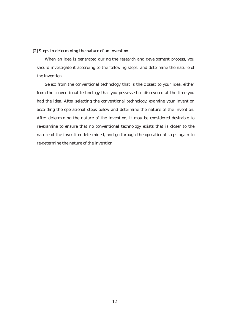#### [2] Steps in determining the nature of an invention

When an idea is generated during the research and development process, you should investigate it according to the following steps, and determine the nature of the invention.

Select from the conventional technology that is the closest to your idea, either from the conventional technology that you possessed or discovered at the time you had the idea. After selecting the conventional technology, examine your invention according the operational steps below and determine the nature of the invention. After determining the nature of the invention, it may be considered desirable to re-examine to ensure that no conventional technology exists that is closer to the nature of the invention determined, and go through the operational steps again to re-determine the nature of the invention.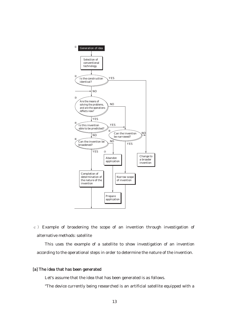

c) Example of broadening the scope of an invention through investigation of alternative methods: satellite

This uses the example of a satellite to show investigation of an invention according to the operational steps in order to determine the nature of the invention.

#### [a] The idea that has been generated

Let's assume that the idea that has been generated is as follows.

"The device currently being researched is an artificial satellite equipped with a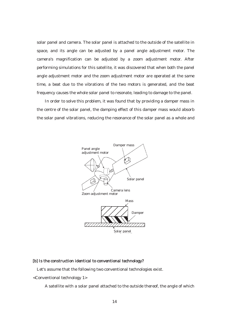solar panel and camera. The solar panel is attached to the outside of the satellite in space, and its angle can be adjusted by a panel angle adjustment motor. The camera's magnification can be adjusted by a zoom adjustment motor. After performing simulations for this satellite, it was discovered that when both the panel angle adjustment motor and the zoom adjustment motor are operated at the same time, a beat due to the vibrations of the two motors is generated, and the beat frequency causes the whole solar panel to resonate, leading to damage to the panel.

In order to solve this problem, it was found that by providing a damper mass in the centre of the solar panel, the damping effect of this damper mass would absorb the solar panel vibrations, reducing the resonance of the solar panel as a whole and



#### [b] Is the construction identical to conventional technology?

Let's assume that the following two conventional technologies exist.

<Conventional technology 1>

A satellite with a solar panel attached to the outside thereof, the angle of which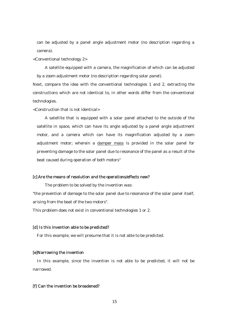can be adjusted by a panel angle adjustment motor (no description regarding a camera).

<Conventional technology 2>

A satellite equipped with a camera, the magnification of which can be adjusted by a zoom adjustment motor (no description regarding solar panel).

Next, compare the idea with the conventional technologies 1 and 2, extracting the constructions which are not identical to, in other words differ from the conventional technologies.

<Construction that is not identical>

A satellite that is equipped with a solar panel attached to the outside of the satellite in space, which can have its angle adjusted by a panel angle adjustment motor, and a camera which can have its magnification adjusted by a zoom adjustment motor; wherein a damper mass is provided in the solar panel for preventing damage to the solar panel due to resonance of the panel as a result of the beat caused during operation of both motors"

#### [c] Are the means of resolution and the operations/effects new?

The problem to be solved by the invention was:

"the prevention of damage to the solar panel due to resonance of the solar panel itself, arising from the beat of the two motors".

This problem does not exist in conventional technologies 1 or 2.

#### [d] Is this invention able to be predicted?

For this example, we will presume that it is not able to be predicted.

#### [e]Narrowing the invention

In this example, since the invention is not able to be predicted, it will not be narrowed.

#### [f] Can the invention be broadened?

15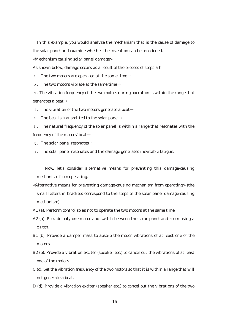In this example, you would analyze the mechanism that is the cause of damage to the solar panel and examine whether the invention can be broadened.

<Mechanism causing solar panel damage>

As shown below, damage occurs as a result of the process of steps a-h.

a. The two motors are operated at the same time $\rightarrow$ 

b. The two motors vibrate at the same time $\rightarrow$ 

c. The vibration frequency of the two motors during operation is within the range that  $a$ enerates a beat $\rightarrow$ 

d. The vibration of the two motors generate a beat $\rightarrow$ 

e. The beat is transmitted to the solar panel $\rightarrow$ 

f. The natural frequency of the solar panel is within a range that resonates with the frequency of the motors' beat $\rightarrow$ 

g. The solar panel resonates  $\rightarrow$ 

h. The solar panel resonates and the damage generates inevitable fatigue.

Now, let's consider alternative means for preventing this damage-causing mechanism from operating.

- <Alternative means for preventing damage-causing mechanism from operating> (the small letters in brackets correspond to the steps of the solar panel damage-causing mechanism).
- A1 (a). Perform control so as not to operate the two motors at the same time.
- A2 (a). Provide only one motor and switch between the solar panel and zoom using a clutch.
- B1 (b). Provide a damper mass to absorb the motor vibrations of at least one of the motors.
- B2 (b). Provide a vibration exciter (speaker etc.) to cancel out the vibrations of at least one of the motors.
- C (c). Set the vibration frequency of the two motors so that it is within a range that will not generate a beat.
- D (d). Provide a vibration exciter (speaker etc.) to cancel out the vibrations of the two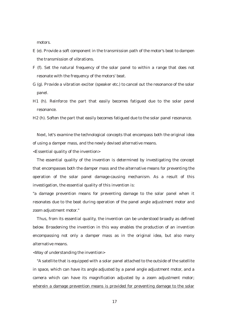motors.

- E (e). Provide a soft component in the transmission path of the motor's beat to dampen the transmission of vibrations.
- F (f). Set the natural frequency of the solar panel to within a range that does not resonate with the frequency of the motors' beat.
- G (g). Provide a vibration exciter (speaker etc.) to cancel out the resonance of the solar panel.
- H1 (h). Reinforce the part that easily becomes fatigued due to the solar panel resonance.

H2 (h). Soften the part that easily becomes fatigued due to the solar panel resonance.

Next, let's examine the technological concepts that encompass both the original idea of using a damper mass, and the newly devised alternative means.

<Essential quality of the invention>

The essential quality of the invention is determined by investigating the concept that encompasses both the damper mass and the alternative means for preventing the operation of the solar panel damage-causing mechanism. As a result of this investigation, the essential quality of this invention is:

"a damage prevention means for preventing damage to the solar panel when it resonates due to the beat during operation of the panel angle adjustment motor and zoom adjustment motor."

Thus, from its essential quality, the invention can be understood broadly as defined below. Broadening the invention in this way enables the production of an invention encompassing not only a damper mass as in the original idea, but also many alternative means.

<Way of understanding the invention>

"A satellite that is equipped with a solar panel attached to the outside of the satellite in space, which can have its angle adjusted by a panel angle adjustment motor, and a camera which can have its magnification adjusted by a zoom adjustment motor; wherein a damage prevention means is provided for preventing damage to the solar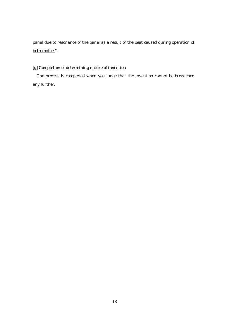panel due to resonance of the panel as a result of the beat caused during operation of both motors".

#### [g] Completion of determining nature of invention

The process is completed when you judge that the invention cannot be broadened any further.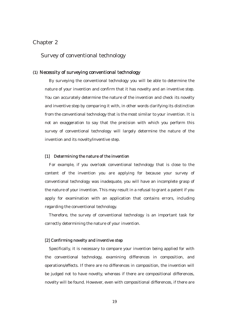#### Chapter 2

#### Survey of conventional technology

#### (1) Necessity of surveying conventional technology

By surveying the conventional technology you will be able to determine the nature of your invention and confirm that it has novelty and an inventive step. You can accurately determine the nature of the invention and check its novelty and inventive step by comparing it with, in other words clarifying its distinction from the conventional technology that is the most similar to your invention. It is not an exaggeration to say that the precision with which you perform this survey of conventional technology will largely determine the nature of the invention and its novelty/inventive step.

#### [1] Determining the nature of the invention

For example, if you overlook conventional technology that is close to the content of the invention you are applying for because your survey of conventional technology was inadequate, you will have an incomplete grasp of the nature of your invention. This may result in a refusal to grant a patent if you apply for examination with an application that contains errors, including regarding the conventional technology.

Therefore, the survey of conventional technology is an important task for correctly determining the nature of your invention.

#### [2] Confirming novelty and inventive step

Specifically, it is necessary to compare your invention being applied for with the conventional technology, examining differences in composition, and operations/effects. If there are no differences in composition, the invention will be judged not to have novelty, whereas if there are compositional differences, novelty will be found. However, even with compositional differences, if there are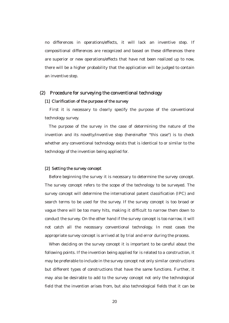no differences in operations/effects, it will lack an inventive step. If compositional differences are recognized and based on these differences there are superior or new operations/effects that have not been realized up to now, there will be a higher probability that the application will be judged to contain an inventive step.

#### (2) Procedure for surveying the conventional technology

#### [1] Clarification of the purpose of the survey

First it is necessary to clearly specify the purpose of the conventional technology survey.

The purpose of the survey in the case of determining the nature of the invention and its novelty/inventive step (hereinafter "this case") is to check whether any conventional technology exists that is identical to or similar to the technology of the invention being applied for.

#### [2] Setting the survey concept

Before beginning the survey it is necessary to determine the survey concept. The survey concept refers to the scope of the technology to be surveyed. The survey concept will determine the international patent classification (IPC) and search terms to be used for the survey. If the survey concept is too broad or vague there will be too many hits, making it difficult to narrow them down to conduct the survey. On the other hand if the survey concept is too narrow, it will not catch all the necessary conventional technology. In most cases the appropriate survey concept is arrived at by trial and error during the process.

When deciding on the survey concept it is important to be careful about the following points. If the invention being applied for is related to a construction, it may be preferable to include in the survey concept not only similar constructions but different types of constructions that have the same functions. Further, it may also be desirable to add to the survey concept not only the technological field that the invention arises from, but also technological fields that it can be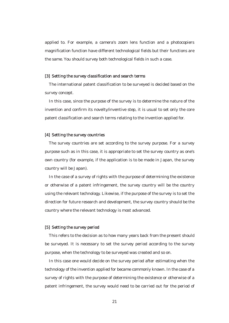applied to. For example, a camera's zoom lens function and a photocopiers magnification function have different technological fields but their functions are the same. You should survey both technological fields in such a case.

#### [3] Setting the survey classification and search terms

The international patent classification to be surveyed is decided based on the survey concept.

In this case, since the purpose of the survey is to determine the nature of the invention and confirm its novelty/inventive step, it is usual to set only the core patent classification and search terms relating to the invention applied for.

#### [4] Setting the survey countries

The survey countries are set according to the survey purpose. For a survey purpose such as in this case, it is appropriate to set the survey country as one's own country (for example, if the application is to be made in Japan, the survey country will be Japan).

In the case of a survey of rights with the purpose of determining the existence or otherwise of a patent infringement, the survey country will be the country using the relevant technology. Likewise, if the purpose of the survey is to set the direction for future research and development, the survey country should be the country where the relevant technology is most advanced.

#### [5] Setting the survey period

This refers to the decision as to how many years back from the present should be surveyed. It is necessary to set the survey period according to the survey purpose, when the technology to be surveyed was created and so on.

In this case one would decide on the survey period after estimating when the technology of the invention applied for became commonly known. In the case of a survey of rights with the purpose of determining the existence or otherwise of a patent infringement, the survey would need to be carried out for the period of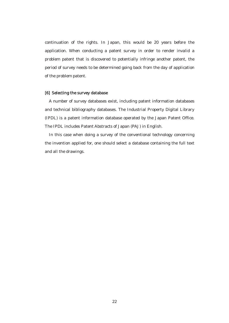continuation of the rights. In Japan, this would be 20 years before the application. When conducting a patent survey in order to render invalid a problem patent that is discovered to potentially infringe another patent, the period of survey needs to be determined going back from the day of application of the problem patent.

#### [6] Selecting the survey database

A number of survey databases exist, including patent information databases and technical bibliography databases. The Industrial Property Digital Library (IPDL) is a patent information database operated by the Japan Patent Office. The IPDL includes Patent Abstracts of Japan (PAJ) in English.

In this case when doing a survey of the conventional technology concerning the invention applied for, one should select a database containing the full text and all the drawings.